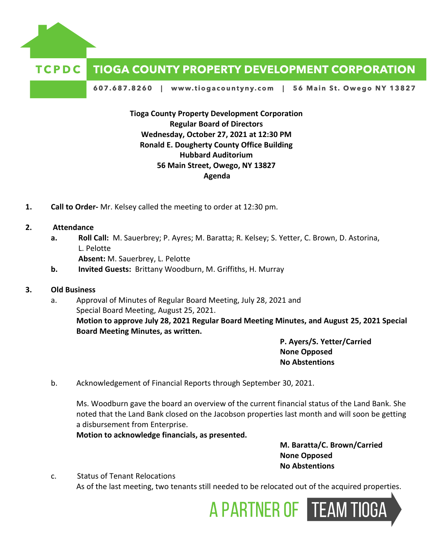

## **TIOGA COUNTY PROPERTY DEVELOPMENT CORPORATION**

607.687.8260 | www.tiogacountyny.com | 56 Main St. Owego NY 13827

**Tioga County Property Development Corporation Regular Board of Directors Wednesday, October 27, 2021 at 12:30 PM Ronald E. Dougherty County Office Building Hubbard Auditorium 56 Main Street, Owego, NY 13827 Agenda**

- **1. Call to Order-** Mr. Kelsey called the meeting to order at 12:30 pm.
- **2. Attendance**
	- **a. Roll Call:** M. Sauerbrey; P. Ayres; M. Baratta; R. Kelsey; S. Yetter, C. Brown, D. Astorina, L. Pelotte

**Absent:** M. Sauerbrey, L. Pelotte

- **b. Invited Guests:** Brittany Woodburn, M. Griffiths, H. Murray
- **3. Old Business**
	- a. Approval of Minutes of Regular Board Meeting, July 28, 2021 and Special Board Meeting, August 25, 2021. **Motion to approve July 28, 2021 Regular Board Meeting Minutes, and August 25, 2021 Special Board Meeting Minutes, as written.**

**P. Ayers/S. Yetter/Carried None Opposed No Abstentions**

b. Acknowledgement of Financial Reports through September 30, 2021.

Ms. Woodburn gave the board an overview of the current financial status of the Land Bank. She noted that the Land Bank closed on the Jacobson properties last month and will soon be getting a disbursement from Enterprise.

**Motion to acknowledge financials, as presented.**

**M. Baratta/C. Brown/Carried None Opposed No Abstentions**

c. Status of Tenant Relocations As of the last meeting, two tenants still needed to be relocated out of the acquired properties.

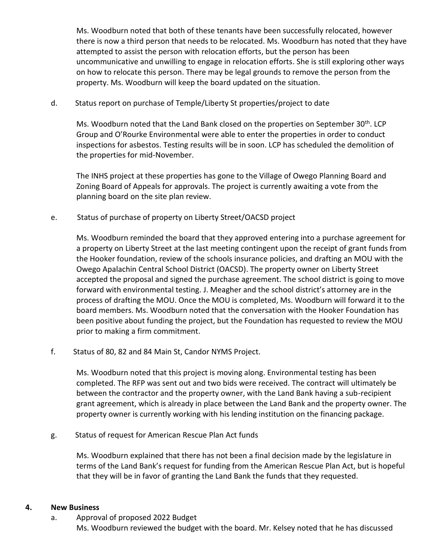Ms. Woodburn noted that both of these tenants have been successfully relocated, however there is now a third person that needs to be relocated. Ms. Woodburn has noted that they have attempted to assist the person with relocation efforts, but the person has been uncommunicative and unwilling to engage in relocation efforts. She is still exploring other ways on how to relocate this person. There may be legal grounds to remove the person from the property. Ms. Woodburn will keep the board updated on the situation.

## d. Status report on purchase of Temple/Liberty St properties/project to date

Ms. Woodburn noted that the Land Bank closed on the properties on September 30<sup>th</sup>. LCP Group and O'Rourke Environmental were able to enter the properties in order to conduct inspections for asbestos. Testing results will be in soon. LCP has scheduled the demolition of the properties for mid-November.

The INHS project at these properties has gone to the Village of Owego Planning Board and Zoning Board of Appeals for approvals. The project is currently awaiting a vote from the planning board on the site plan review.

e. Status of purchase of property on Liberty Street/OACSD project

Ms. Woodburn reminded the board that they approved entering into a purchase agreement for a property on Liberty Street at the last meeting contingent upon the receipt of grant funds from the Hooker foundation, review of the schools insurance policies, and drafting an MOU with the Owego Apalachin Central School District (OACSD). The property owner on Liberty Street accepted the proposal and signed the purchase agreement. The school district is going to move forward with environmental testing. J. Meagher and the school district's attorney are in the process of drafting the MOU. Once the MOU is completed, Ms. Woodburn will forward it to the board members. Ms. Woodburn noted that the conversation with the Hooker Foundation has been positive about funding the project, but the Foundation has requested to review the MOU prior to making a firm commitment.

f. Status of 80, 82 and 84 Main St, Candor NYMS Project.

Ms. Woodburn noted that this project is moving along. Environmental testing has been completed. The RFP was sent out and two bids were received. The contract will ultimately be between the contractor and the property owner, with the Land Bank having a sub-recipient grant agreement, which is already in place between the Land Bank and the property owner. The property owner is currently working with his lending institution on the financing package.

g. Status of request for American Rescue Plan Act funds

Ms. Woodburn explained that there has not been a final decision made by the legislature in terms of the Land Bank's request for funding from the American Rescue Plan Act, but is hopeful that they will be in favor of granting the Land Bank the funds that they requested.

## **4. New Business**

a. Approval of proposed 2022 Budget Ms. Woodburn reviewed the budget with the board. Mr. Kelsey noted that he has discussed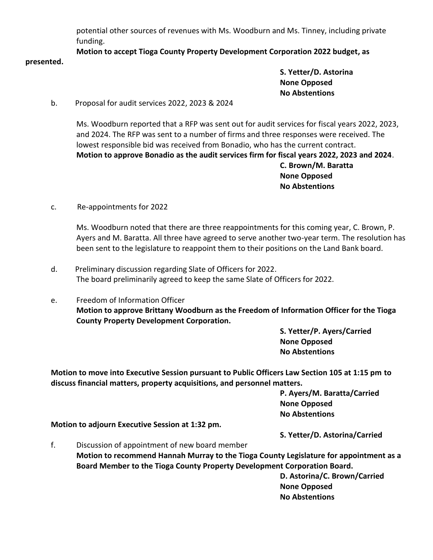potential other sources of revenues with Ms. Woodburn and Ms. Tinney, including private funding.

**Motion to accept Tioga County Property Development Corporation 2022 budget, as** 

**S. Yetter/D. Astorina None Opposed No Abstentions**

b. Proposal for audit services 2022, 2023 & 2024

Ms. Woodburn reported that a RFP was sent out for audit services for fiscal years 2022, 2023, and 2024. The RFP was sent to a number of firms and three responses were received. The lowest responsible bid was received from Bonadio, who has the current contract. **Motion to approve Bonadio as the audit services firm for fiscal years 2022, 2023 and 2024**. **C. Brown/M. Baratta None Opposed No Abstentions** 

c. Re-appointments for 2022

**presented.** 

Ms. Woodburn noted that there are three reappointments for this coming year, C. Brown, P. Ayers and M. Baratta. All three have agreed to serve another two-year term. The resolution has been sent to the legislature to reappoint them to their positions on the Land Bank board.

- d. Preliminary discussion regarding Slate of Officers for 2022. The board preliminarily agreed to keep the same Slate of Officers for 2022.
- e. Freedom of Information Officer **Motion to approve Brittany Woodburn as the Freedom of Information Officer for the Tioga County Property Development Corporation.**

**S. Yetter/P. Ayers/Carried None Opposed No Abstentions**

**Motion to move into Executive Session pursuant to Public Officers Law Section 105 at 1:15 pm to discuss financial matters, property acquisitions, and personnel matters.** 

> **P. Ayers/M. Baratta/Carried None Opposed No Abstentions**

**Motion to adjourn Executive Session at 1:32 pm.** 

**S. Yetter/D. Astorina/Carried**

f. Discussion of appointment of new board member **Motion to recommend Hannah Murray to the Tioga County Legislature for appointment as a Board Member to the Tioga County Property Development Corporation Board.**

**D. Astorina/C. Brown/Carried None Opposed No Abstentions**